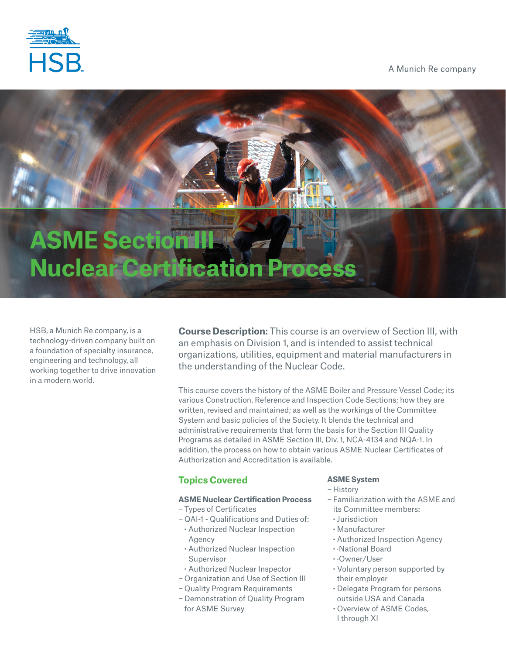

# A Munich Re company

# **ASME Section I Nuclear Certification Process**

HSB, a Munich Re company, is a technology-driven company built on a foundation of specialty insurance, engineering and technology, all working together to drive innovation in a modern world.

**Course Description:** This course is an overview of Section III, with an emphasis on Division 1, and is intended to assist technical organizations, utilities, equipment and material manufacturers in the understanding of the Nuclear Code.

This course covers the history of the ASME Boiler and Pressure Vessel Code; its various Construction, Reference and Inspection Code Sections; how they are written, revised and maintained; as well as the workings of the Committee System and basic policies of the Society. It blends the technical and administrative requirements that form the basis for the Section III Quality Programs as detailed in ASME Section III, Div. 1, NCA-4134 and NQA-1. In addition, the process on how to obtain various ASME Nuclear Certificates of Authorization and Accreditation is available.

# **Topics Covered**

### **ASME Nuclear Certification Process**

- − Types of Certificates
- − QAI-1 Qualifications and Duties of: **·** Authorized Nuclear Inspection Agency
- **·** Authorized Nuclear Inspection Supervisor
- **·** Authorized Nuclear Inspector
- − Organization and Use of Section III
- − Quality Program Requirements
- − Demonstration of Quality Program for ASME Survey

# **ASME System**

- − History
- − Familiarization with the ASME and its Committee members:
- **·** Jurisdiction
- **·** Manufacturer
- **·** Authorized Inspection Agency
- **·** ·National Board
- **·** ·Owner/User
- **·** Voluntary person supported by their employer
- **·** Delegate Program for persons outside USA and Canada
- **·** Overview of ASME Codes, I through XI